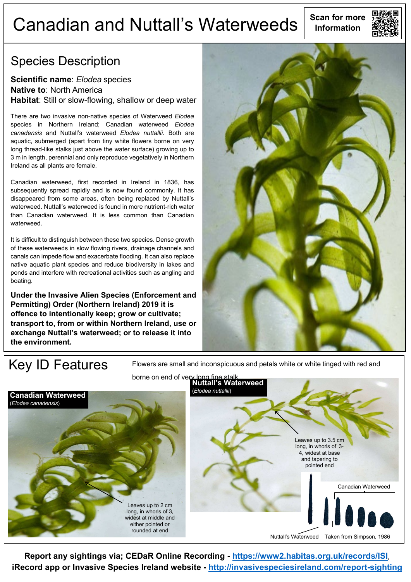# **Scan for more** Canadian and Nuttall's Waterweeds **Information**



#### Species Description

#### **Scientific name**: *Elodea* species **Native to**: North America **Habitat**: Still or slow-flowing, shallow or deep water

There are two invasive non-native species of Waterweed *Elodea*  species in Northern Ireland; Canadian waterweed *Elodea canadensis* and Nuttall's waterweed *Elodea nuttallii*. Both are aquatic, submerged (apart from tiny white flowers borne on very long thread-like stalks just above the water surface) growing up to 3 m in length, perennial and only reproduce vegetatively in Northern Ireland as all plants are female.

Canadian waterweed, first recorded in Ireland in 1836, has subsequently spread rapidly and is now found commonly. It has disappeared from some areas, often being replaced by Nuttall's waterweed. Nuttall's waterweed is found in more nutrient-rich water than Canadian waterweed. It is less common than Canadian waterweed.

It is difficult to distinguish between these two species. Dense growth of these waterweeds in slow flowing rivers, drainage channels and canals can impede flow and exacerbate flooding. It can also replace native aquatic plant species and reduce biodiversity in lakes and ponds and interfere with recreational activities such as angling and boating.

**Under the Invasive Alien Species (Enforcement and Permitting) Order (Northern Ireland) 2019 it is offence to intentionally keep; grow or cultivate; transport to, from or within Northern Ireland, use or exchange Nuttall's waterweed; or to release it into the environment.**



Key ID Features Flowers are small and inconspicuous and petals white or white tinged with red and



**Report any sightings via; CEDaR Online Recording - <https://www2.habitas.org.uk/records/ISI>**, **iRecord app or Invasive Species Ireland website - <http://invasivespeciesireland.com/report-sighting>**